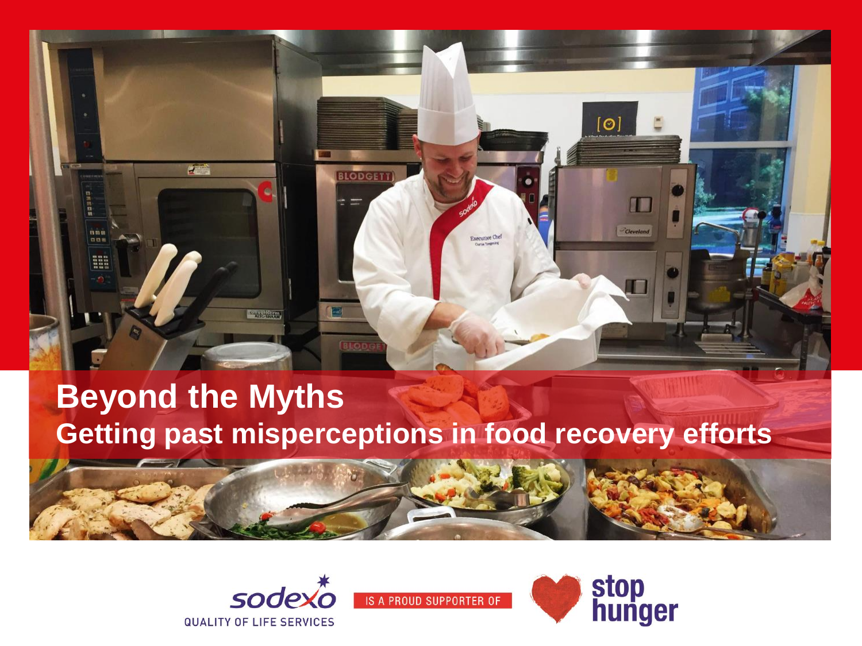

#### **Beyond the Myths Getting past misperceptions in food recovery efforts**





**IS A PROUD SUPPORTER OF** 

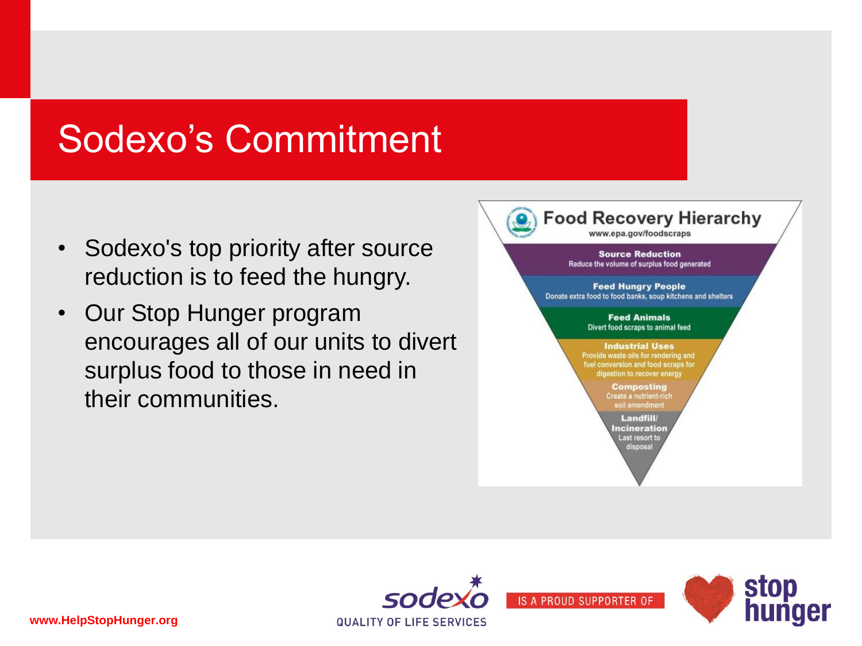## Sodexo's Commitment

- Sodexo's top priority after source reduction is to feed the hungry.
- Our Stop Hunger program encourages all of our units to divert surplus food to those in need in their communities.



stop<br>hunger

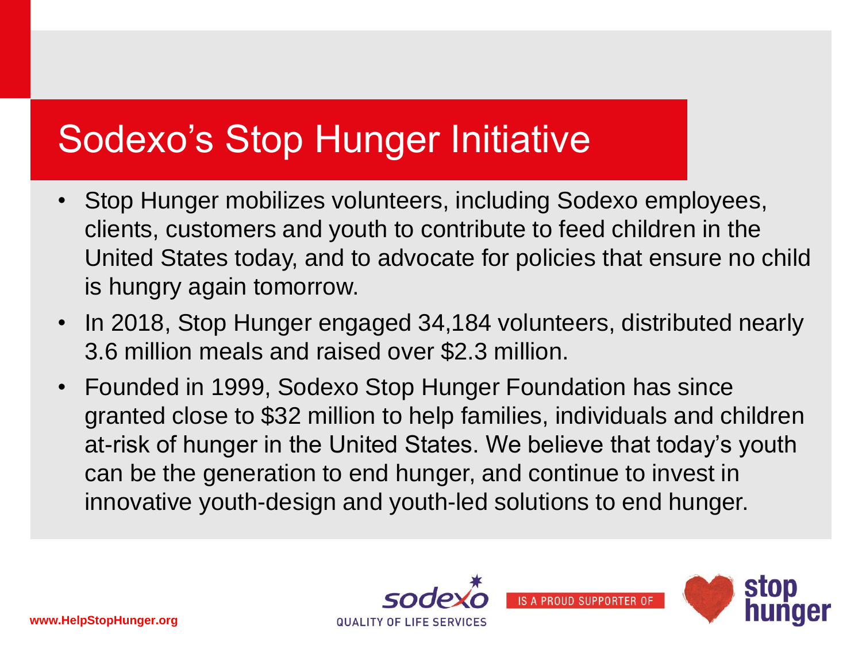# Sodexo's Stop Hunger Initiative

- Stop Hunger mobilizes volunteers, including Sodexo employees, clients, customers and youth to contribute to feed children in the United States today, and to advocate for policies that ensure no child is hungry again tomorrow.
- In 2018, Stop Hunger engaged 34,184 volunteers, distributed nearly 3.6 million meals and raised over \$2.3 million.
- Founded in 1999, Sodexo Stop Hunger Foundation has since granted close to \$32 million to help families, individuals and children at-risk of hunger in the United States. We believe that today's youth can be the generation to end hunger, and continue to invest in innovative youth-design and youth-led solutions to end hunger.



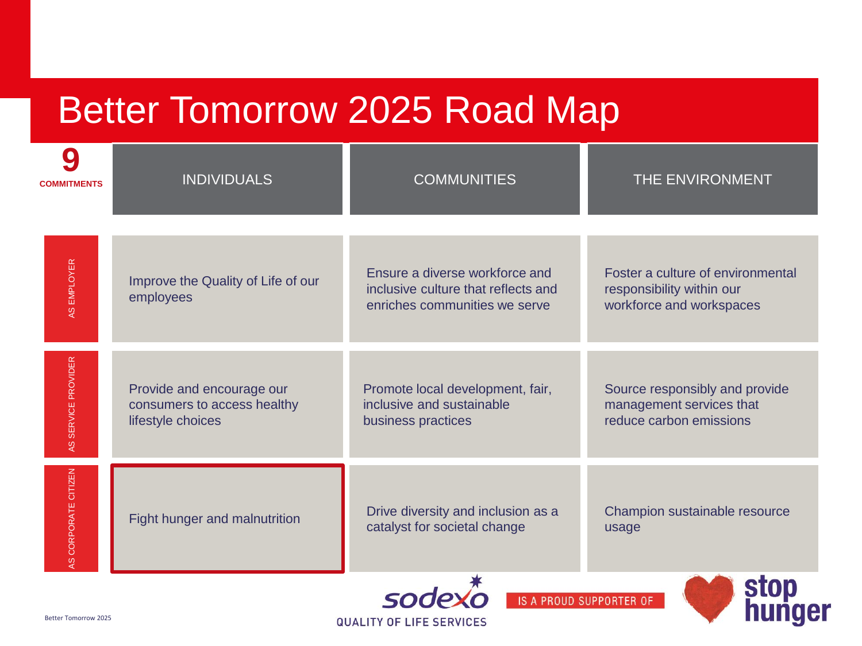# Better Tomorrow 2025 Road Map

| <b>COMMITMENTS</b>                                                                                                          | <b>INDIVIDUALS</b>                                                            | <b>COMMUNITIES</b>                                                                                     | THE ENVIRONMENT                                                                            |
|-----------------------------------------------------------------------------------------------------------------------------|-------------------------------------------------------------------------------|--------------------------------------------------------------------------------------------------------|--------------------------------------------------------------------------------------------|
| AS EMPLOYER                                                                                                                 | Improve the Quality of Life of our<br>employees                               | Ensure a diverse workforce and<br>inclusive culture that reflects and<br>enriches communities we serve | Foster a culture of environmental<br>responsibility within our<br>workforce and workspaces |
| AS SERVICE PROVIDER                                                                                                         | Provide and encourage our<br>consumers to access healthy<br>lifestyle choices | Promote local development, fair,<br>inclusive and sustainable<br>business practices                    | Source responsibly and provide<br>management services that<br>reduce carbon emissions      |
| AS CORPORATE CITIZEN                                                                                                        | Fight hunger and malnutrition                                                 | Drive diversity and inclusion as a<br>catalyst for societal change                                     | Champion sustainable resource<br>usage                                                     |
| stop<br>hunger<br>sodex<br><b>IS A PROUD SUPPORTER OF</b><br><b>Better Tomorrow 2025</b><br><b>QUALITY OF LIFE SERVICES</b> |                                                                               |                                                                                                        |                                                                                            |

**QUALITY OF LIFE SERVICES**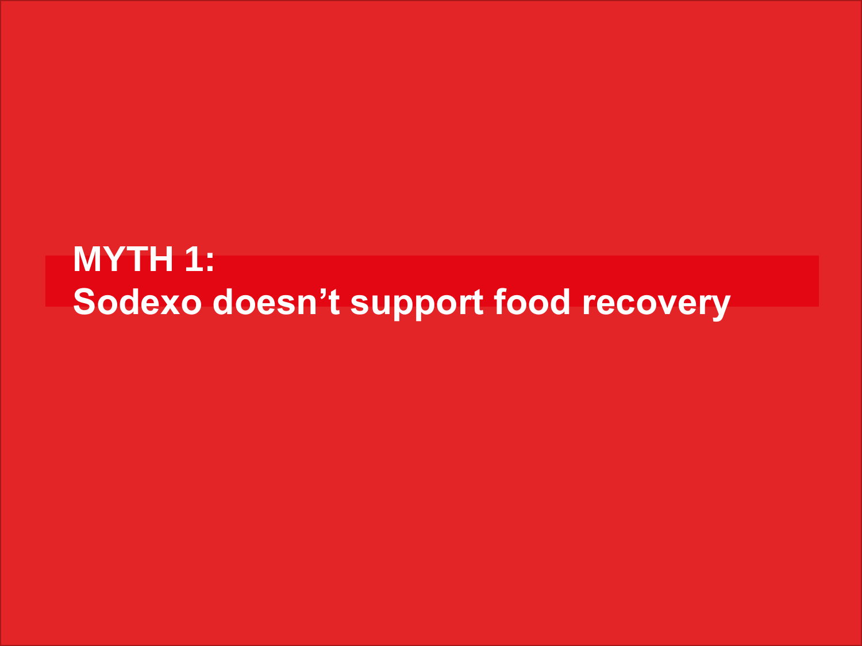#### **MYTH 1: Sodexo doesn't support food recovery**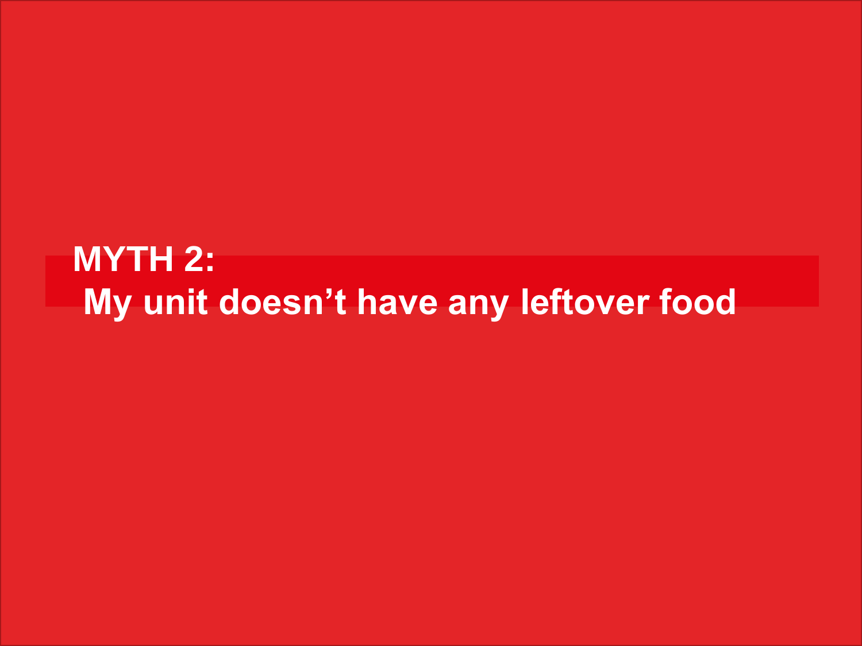#### **MYTH 2: My unit doesn't have any leftover food**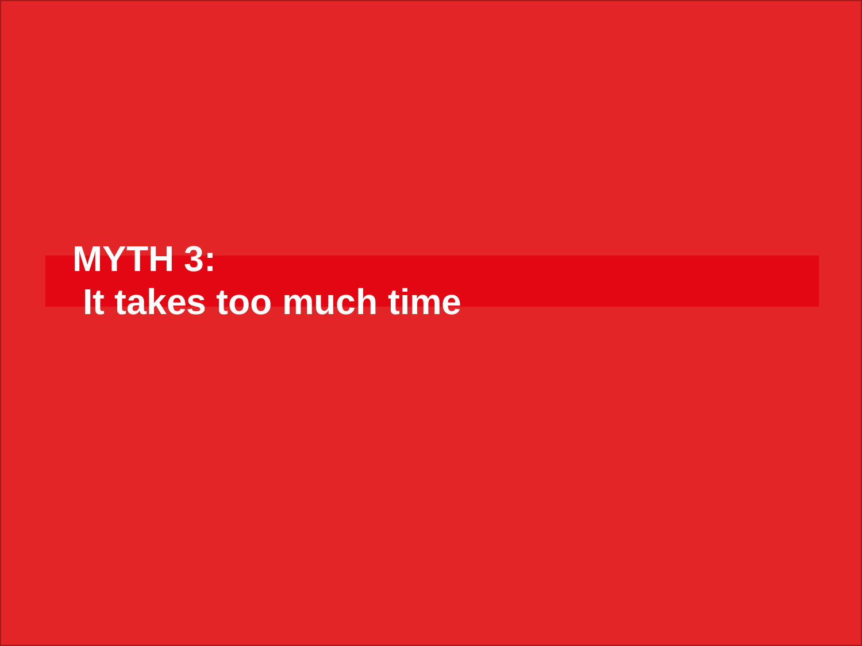#### **MYTH 3: It takes too much time**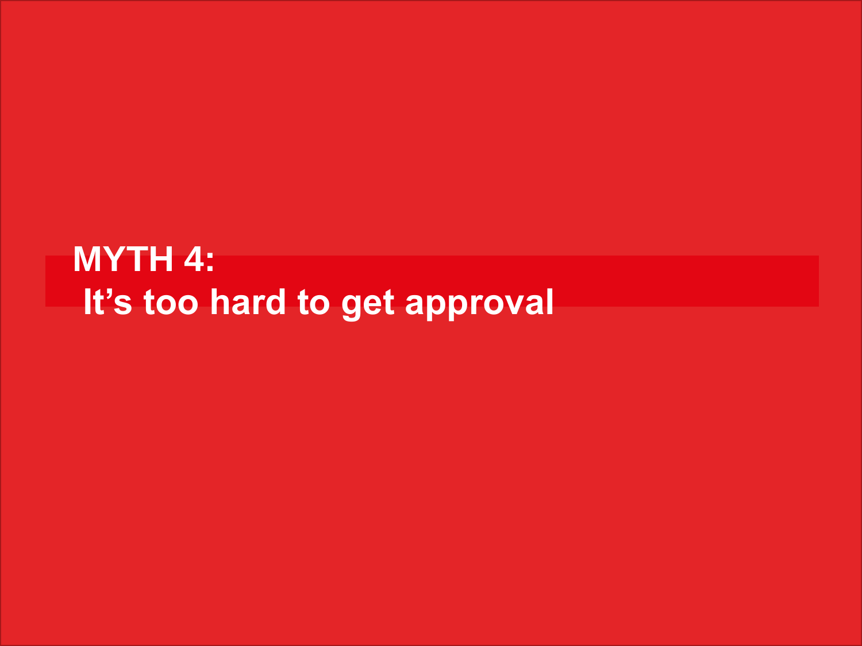#### **MYTH 4: It's too hard to get approval**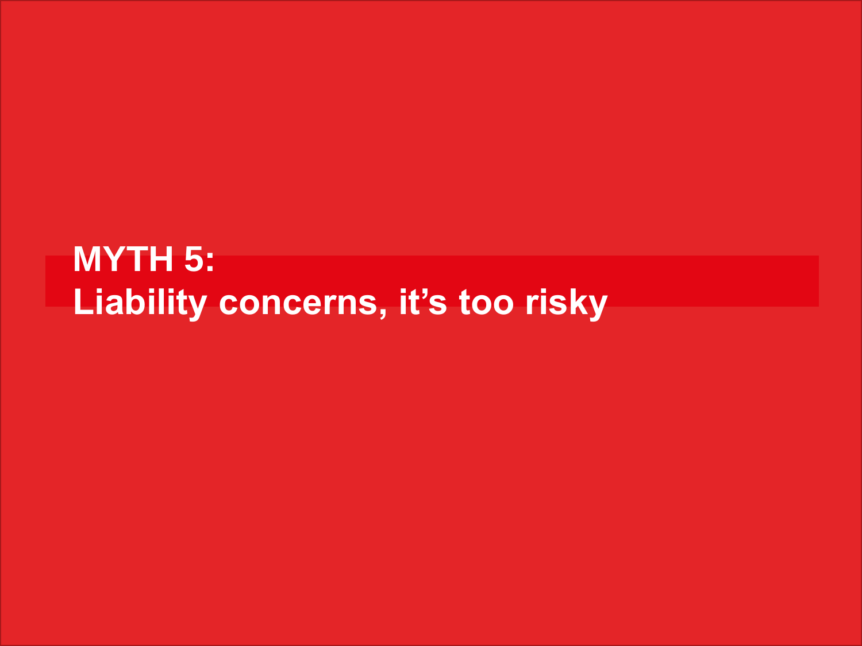#### **MYTH 5: Liability concerns, it's too risky**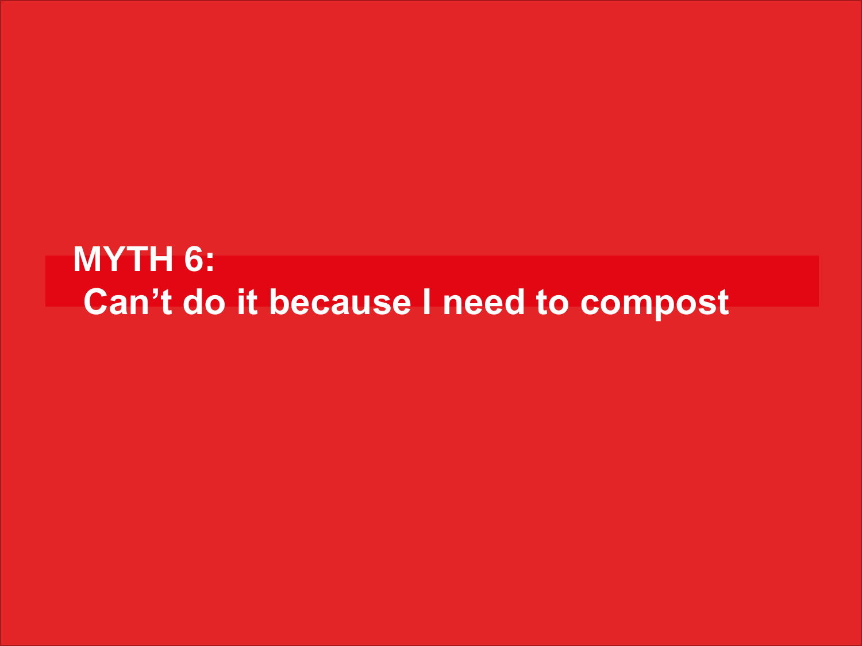#### **MYTH 6: Can't do it because I need to compost**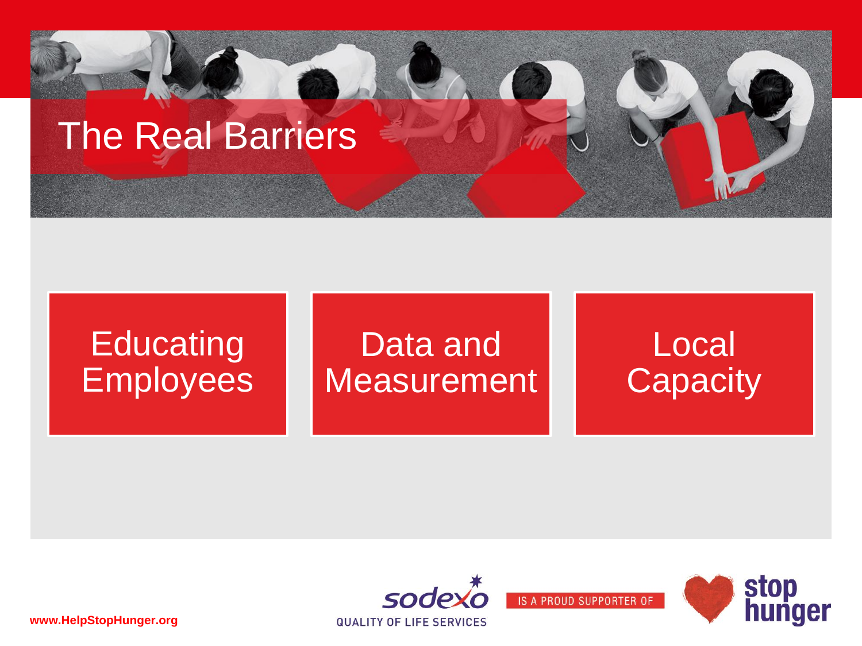

#### **Educating Employees** Data and **Measurement** Local **Capacity**



stop<br>hunger

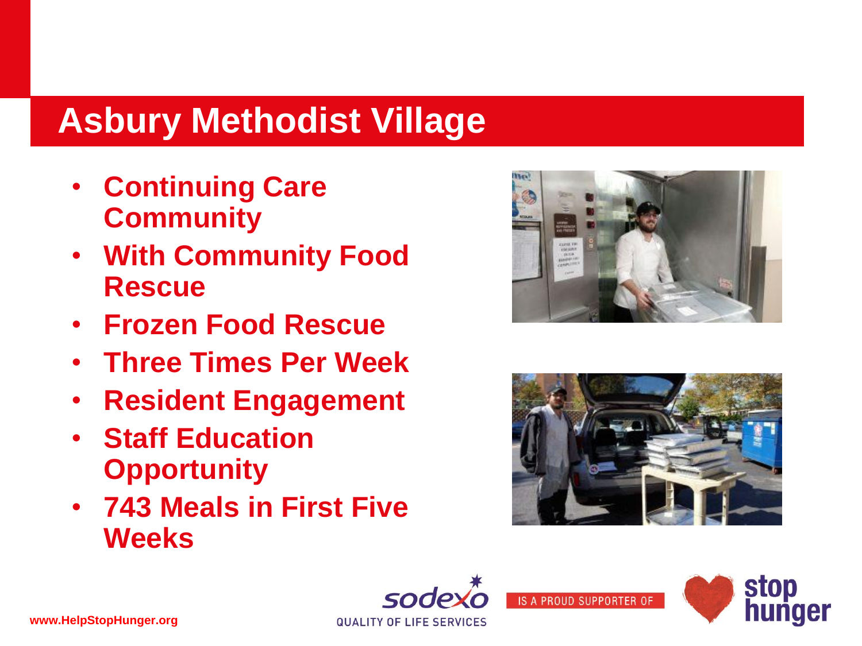## **Asbury Methodist Village**

- **Continuing Care Community**
- **With Community Food Rescue**
- **Frozen Food Rescue**
- **Three Times Per Week**
- **Resident Engagement**
- **Staff Education Opportunity**
- **743 Meals in First Five Weeks**







**QUALITY OF LIFE SERVICES**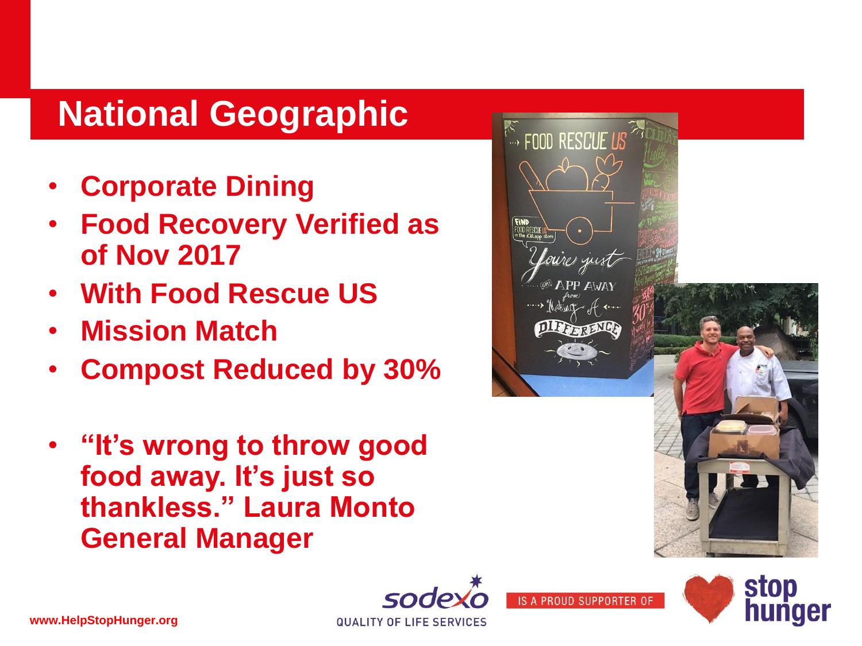#### **National Geographic**

- **Corporate Dining**
- **Food Recovery Verified as of Nov 2017**
- **With Food Rescue US**
- **Mission Match**
- **Compost Reduced by 30%**
- **"It's wrong to throw good food away. It's just so thankless." Laura Monto General Manager**



**IS A PROUD SUPPORTER** 



**QUALITY OF LIFE SERVICES**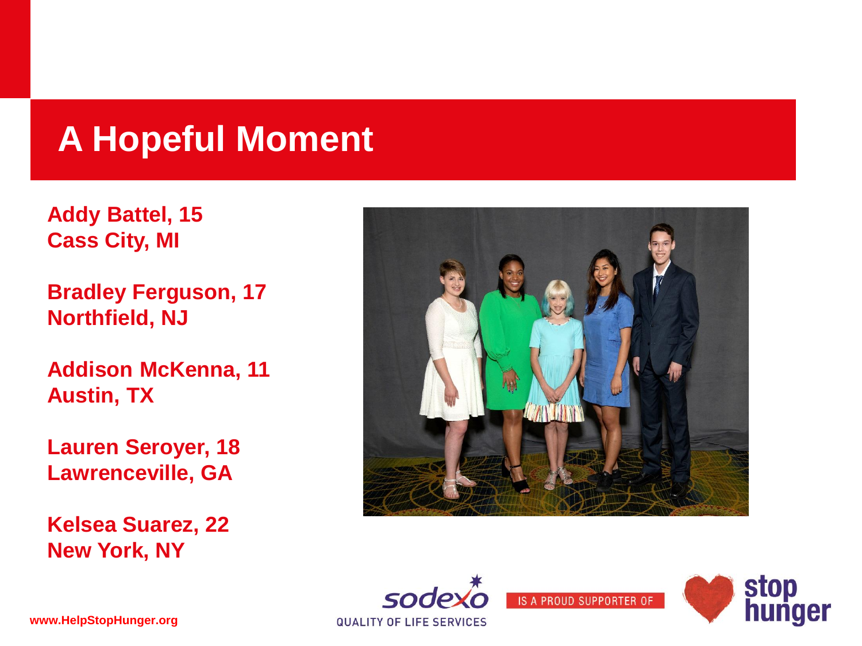#### **A Hopeful Moment**

**Addy Battel, 15 Cass City, MI**

**Bradley Ferguson, 17 Northfield, NJ**

**Addison McKenna, 11 Austin, TX**

**Lauren Seroyer, 18 Lawrenceville, GA**

**Kelsea Suarez, 22 New York, NY**